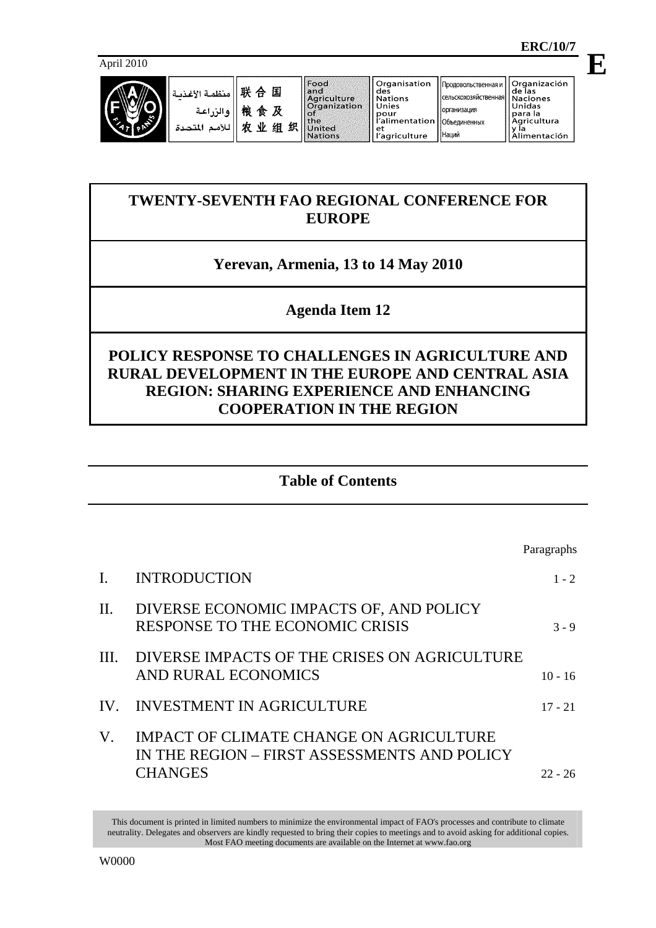**E**

April 2010



# **TWENTY-SEVENTH FAO REGIONAL CONFERENCE FOR EUROPE**

# **Yerevan, Armenia, 13 to 14 May 2010**

# **Agenda Item 12**

# **POLICY RESPONSE TO CHALLENGES IN AGRICULTURE AND RURAL DEVELOPMENT IN THE EUROPE AND CENTRAL ASIA REGION: SHARING EXPERIENCE AND ENHANCING COOPERATION IN THE REGION**

# **Table of Contents**

|             |                                                                                                           | Paragraphs |
|-------------|-----------------------------------------------------------------------------------------------------------|------------|
|             | <b>INTRODUCTION</b>                                                                                       | $1 - 2$    |
| $\Pi$ .     | DIVERSE ECONOMIC IMPACTS OF, AND POLICY<br>RESPONSE TO THE ECONOMIC CRISIS                                | $3 - 9$    |
| Ш.          | DIVERSE IMPACTS OF THE CRISES ON AGRICULTURE<br>AND RURAL ECONOMICS                                       | $10 - 16$  |
| IV.         | <b>INVESTMENT IN AGRICULTURE</b>                                                                          | $17 - 21$  |
| $V_{\cdot}$ | IMPACT OF CLIMATE CHANGE ON AGRICULTURE<br>IN THE REGION – FIRST ASSESSMENTS AND POLICY<br><b>CHANGES</b> | 22 - 26    |

This document is printed in limited numbers to minimize the environmental impact of FAO's processes and contribute to climate neutrality. Delegates and observers are kindly requested to bring their copies to meetings and to avoid asking for additional copies. Most FAO meeting documents are available on the Internet at www.fao.org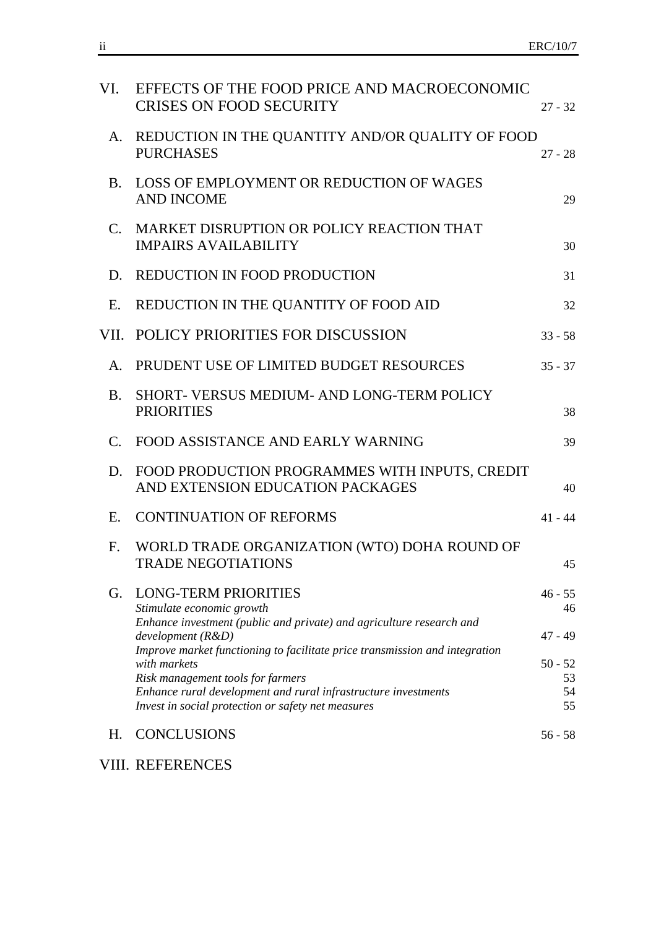| VI.         | EFFECTS OF THE FOOD PRICE AND MACROECONOMIC<br><b>CRISES ON FOOD SECURITY</b>                                                                                                                                                                        | $27 - 32$                                 |
|-------------|------------------------------------------------------------------------------------------------------------------------------------------------------------------------------------------------------------------------------------------------------|-------------------------------------------|
| A.          | REDUCTION IN THE QUANTITY AND/OR QUALITY OF FOOD<br><b>PURCHASES</b>                                                                                                                                                                                 | $27 - 28$                                 |
|             | B. LOSS OF EMPLOYMENT OR REDUCTION OF WAGES<br><b>AND INCOME</b>                                                                                                                                                                                     | 29                                        |
|             | C. MARKET DISRUPTION OR POLICY REACTION THAT<br><b>IMPAIRS AVAILABILITY</b>                                                                                                                                                                          | 30                                        |
|             | D. REDUCTION IN FOOD PRODUCTION                                                                                                                                                                                                                      | 31                                        |
| E.          | REDUCTION IN THE QUANTITY OF FOOD AID                                                                                                                                                                                                                | 32                                        |
|             | VII. POLICY PRIORITIES FOR DISCUSSION                                                                                                                                                                                                                | $33 - 58$                                 |
|             | A. PRUDENT USE OF LIMITED BUDGET RESOURCES                                                                                                                                                                                                           | $35 - 37$                                 |
| <b>B.</b>   | SHORT- VERSUS MEDIUM- AND LONG-TERM POLICY<br><b>PRIORITIES</b>                                                                                                                                                                                      | 38                                        |
| $C_{\cdot}$ | FOOD ASSISTANCE AND EARLY WARNING                                                                                                                                                                                                                    | 39                                        |
| D.          | FOOD PRODUCTION PROGRAMMES WITH INPUTS, CREDIT<br>AND EXTENSION EDUCATION PACKAGES                                                                                                                                                                   | 40                                        |
| E.          | <b>CONTINUATION OF REFORMS</b>                                                                                                                                                                                                                       | $41 - 44$                                 |
|             | F. WORLD TRADE ORGANIZATION (WTO) DOHA ROUND OF<br><b>TRADE NEGOTIATIONS</b>                                                                                                                                                                         | 45                                        |
| G.          | <b>LONG-TERM PRIORITIES</b><br>Stimulate economic growth<br>Enhance investment (public and private) and agriculture research and<br>development (R&D)<br>Improve market functioning to facilitate price transmission and integration<br>with markets | $46 - 55$<br>46<br>$47 - 49$<br>$50 - 52$ |
|             | Risk management tools for farmers<br>Enhance rural development and rural infrastructure investments<br>Invest in social protection or safety net measures                                                                                            | 53<br>54<br>55                            |
| Η.          | <b>CONCLUSIONS</b>                                                                                                                                                                                                                                   | $56 - 58$                                 |

VIII. REFERENCES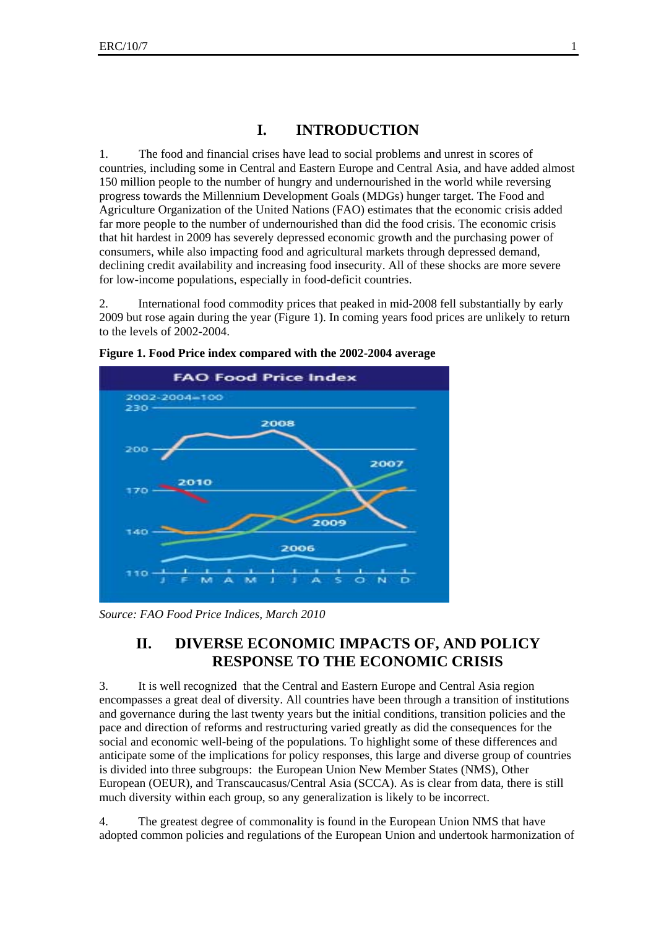# **I. INTRODUCTION**

1. The food and financial crises have lead to social problems and unrest in scores of countries, including some in Central and Eastern Europe and Central Asia, and have added almost 150 million people to the number of hungry and undernourished in the world while reversing progress towards the Millennium Development Goals (MDGs) hunger target. The Food and Agriculture Organization of the United Nations (FAO) estimates that the economic crisis added far more people to the number of undernourished than did the food crisis. The economic crisis that hit hardest in 2009 has severely depressed economic growth and the purchasing power of consumers, while also impacting food and agricultural markets through depressed demand, declining credit availability and increasing food insecurity. All of these shocks are more severe for low-income populations, especially in food-deficit countries.

2. International food commodity prices that peaked in mid-2008 fell substantially by early 2009 but rose again during the year (Figure 1). In coming years food prices are unlikely to return to the levels of 2002-2004.



**Figure 1. Food Price index compared with the 2002-2004 average** 

*Source: FAO Food Price Indices, March 2010* 

# **II. DIVERSE ECONOMIC IMPACTS OF, AND POLICY RESPONSE TO THE ECONOMIC CRISIS**

3. It is well recognized that the Central and Eastern Europe and Central Asia region encompasses a great deal of diversity. All countries have been through a transition of institutions and governance during the last twenty years but the initial conditions, transition policies and the pace and direction of reforms and restructuring varied greatly as did the consequences for the social and economic well-being of the populations. To highlight some of these differences and anticipate some of the implications for policy responses, this large and diverse group of countries is divided into three subgroups: the European Union New Member States (NMS), Other European (OEUR), and Transcaucasus/Central Asia (SCCA). As is clear from data, there is still much diversity within each group, so any generalization is likely to be incorrect.

4. The greatest degree of commonality is found in the European Union NMS that have adopted common policies and regulations of the European Union and undertook harmonization of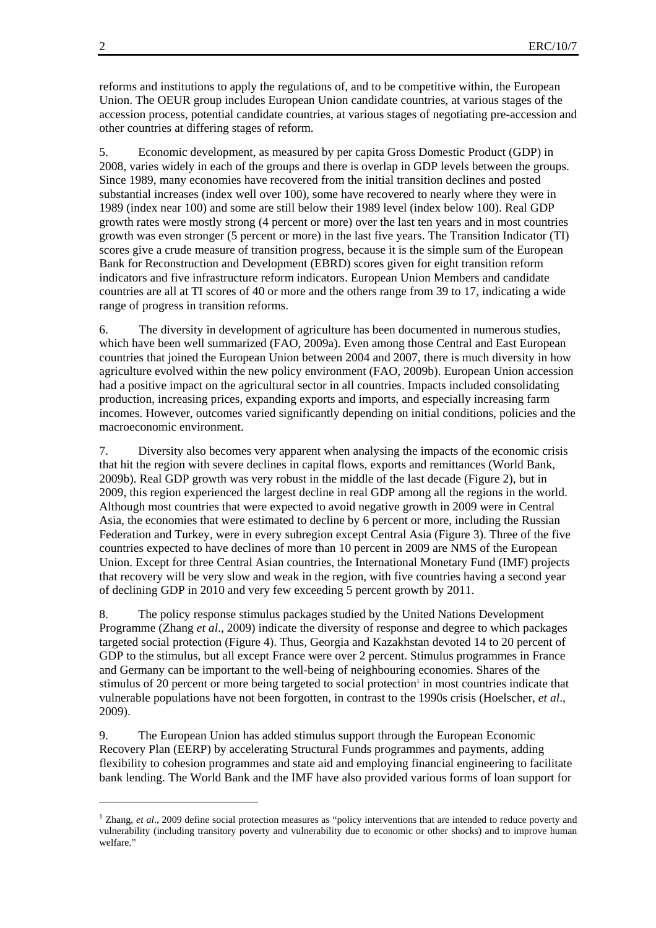reforms and institutions to apply the regulations of, and to be competitive within, the European Union. The OEUR group includes European Union candidate countries, at various stages of the accession process, potential candidate countries, at various stages of negotiating pre-accession and other countries at differing stages of reform.

5. Economic development, as measured by per capita Gross Domestic Product (GDP) in 2008, varies widely in each of the groups and there is overlap in GDP levels between the groups. Since 1989, many economies have recovered from the initial transition declines and posted substantial increases (index well over 100), some have recovered to nearly where they were in 1989 (index near 100) and some are still below their 1989 level (index below 100). Real GDP growth rates were mostly strong (4 percent or more) over the last ten years and in most countries growth was even stronger (5 percent or more) in the last five years. The Transition Indicator (TI) scores give a crude measure of transition progress, because it is the simple sum of the European Bank for Reconstruction and Development (EBRD) scores given for eight transition reform indicators and five infrastructure reform indicators. European Union Members and candidate countries are all at TI scores of 40 or more and the others range from 39 to 17, indicating a wide range of progress in transition reforms.

6. The diversity in development of agriculture has been documented in numerous studies, which have been well summarized (FAO, 2009a). Even among those Central and East European countries that joined the European Union between 2004 and 2007, there is much diversity in how agriculture evolved within the new policy environment (FAO, 2009b). European Union accession had a positive impact on the agricultural sector in all countries. Impacts included consolidating production, increasing prices, expanding exports and imports, and especially increasing farm incomes. However, outcomes varied significantly depending on initial conditions, policies and the macroeconomic environment.

7. Diversity also becomes very apparent when analysing the impacts of the economic crisis that hit the region with severe declines in capital flows, exports and remittances (World Bank, 2009b). Real GDP growth was very robust in the middle of the last decade (Figure 2), but in 2009, this region experienced the largest decline in real GDP among all the regions in the world. Although most countries that were expected to avoid negative growth in 2009 were in Central Asia, the economies that were estimated to decline by 6 percent or more, including the Russian Federation and Turkey, were in every subregion except Central Asia (Figure 3). Three of the five countries expected to have declines of more than 10 percent in 2009 are NMS of the European Union. Except for three Central Asian countries, the International Monetary Fund (IMF) projects that recovery will be very slow and weak in the region, with five countries having a second year of declining GDP in 2010 and very few exceeding 5 percent growth by 2011.

8. The policy response stimulus packages studied by the United Nations Development Programme (Zhang *et al*., 2009) indicate the diversity of response and degree to which packages targeted social protection (Figure 4). Thus, Georgia and Kazakhstan devoted 14 to 20 percent of GDP to the stimulus, but all except France were over 2 percent. Stimulus programmes in France and Germany can be important to the well-being of neighbouring economies. Shares of the stimulus of 20 percent or more being targeted to social protection<sup>1</sup> in most countries indicate that vulnerable populations have not been forgotten, in contrast to the 1990s crisis (Hoelscher, *et al*., 2009).

9. The European Union has added stimulus support through the European Economic Recovery Plan (EERP) by accelerating Structural Funds programmes and payments, adding flexibility to cohesion programmes and state aid and employing financial engineering to facilitate bank lending. The World Bank and the IMF have also provided various forms of loan support for

l

<sup>&</sup>lt;sup>1</sup> Zhang, *et al.*, 2009 define social protection measures as "policy interventions that are intended to reduce poverty and vulnerability (including transitory poverty and vulnerability due to economic or other shocks) and to improve human welfare."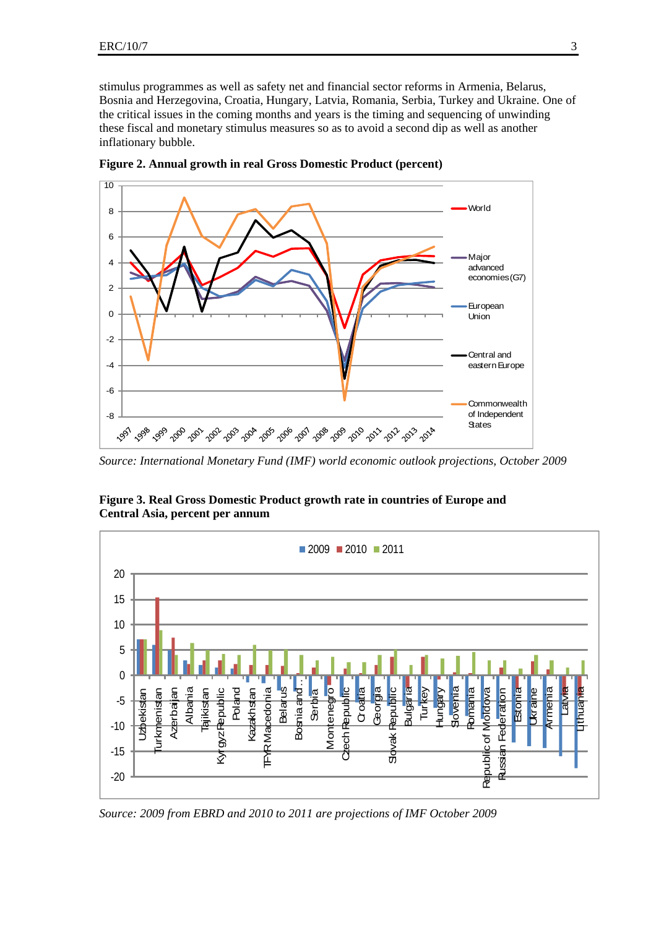stimulus programmes as well as safety net and financial sector reforms in Armenia, Belarus, Bosnia and Herzegovina, Croatia, Hungary, Latvia, Romania, Serbia, Turkey and Ukraine. One of the critical issues in the coming months and years is the timing and sequencing of unwinding these fiscal and monetary stimulus measures so as to avoid a second dip as well as another inflationary bubble.



**Figure 2. Annual growth in real Gross Domestic Product (percent)** 

*Source: International Monetary Fund (IMF) world economic outlook projections, October 2009* 



**Figure 3. Real Gross Domestic Product growth rate in countries of Europe and Central Asia, percent per annum** 

*Source: 2009 from EBRD and 2010 to 2011 are projections of IMF October 2009*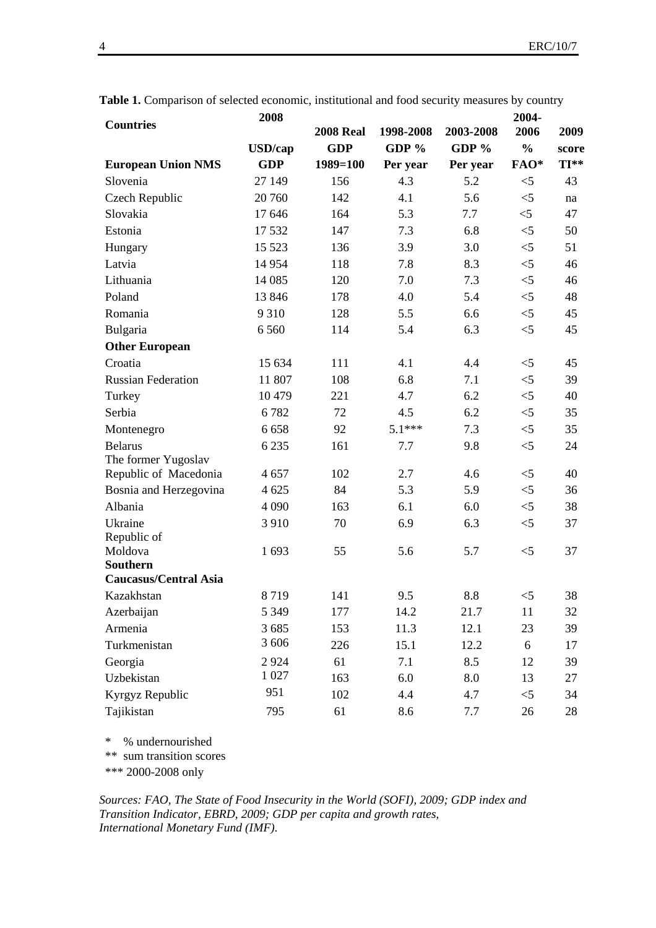|                              | 2008            |                  |           |           | 2004-         |       |
|------------------------------|-----------------|------------------|-----------|-----------|---------------|-------|
| <b>Countries</b>             |                 | <b>2008 Real</b> | 1998-2008 | 2003-2008 | 2006          | 2009  |
|                              | <b>USD</b> /cap | <b>GDP</b>       | GDP $%$   | GDP $%$   | $\frac{0}{0}$ | score |
| <b>European Union NMS</b>    | <b>GDP</b>      | $1989 = 100$     | Per year  | Per year  | FAO*          | TI**  |
| Slovenia                     | 27 149          | 156              | 4.3       | 5.2       | $<$ 5         | 43    |
| Czech Republic               | 20 760          | 142              | 4.1       | 5.6       | $<$ 5         | na    |
| Slovakia                     | 17646           | 164              | 5.3       | 7.7       | $<$ 5         | 47    |
| Estonia                      | 17532           | 147              | 7.3       | 6.8       | $<$ 5         | 50    |
| Hungary                      | 15 5 23         | 136              | 3.9       | 3.0       | $<$ 5         | 51    |
| Latvia                       | 14 9 54         | 118              | 7.8       | 8.3       | $<$ 5         | 46    |
| Lithuania                    | 14 085          | 120              | 7.0       | 7.3       | $<$ 5         | 46    |
| Poland                       | 13846           | 178              | 4.0       | 5.4       | $<$ 5         | 48    |
| Romania                      | 9 3 1 0         | 128              | 5.5       | 6.6       | $<$ 5         | 45    |
| Bulgaria                     | 6 5 6 0         | 114              | 5.4       | 6.3       | $<$ 5         | 45    |
| <b>Other European</b>        |                 |                  |           |           |               |       |
| Croatia                      | 15 634          | 111              | 4.1       | 4.4       | $<$ 5         | 45    |
| <b>Russian Federation</b>    | 11 807          | 108              | 6.8       | 7.1       | $<$ 5         | 39    |
| Turkey                       | 10 479          | 221              | 4.7       | 6.2       | $<$ 5         | 40    |
| Serbia                       | 6782            | 72               | 4.5       | 6.2       | $<$ 5         | 35    |
| Montenegro                   | 6658            | 92               | $5.1***$  | 7.3       | $<$ 5         | 35    |
| <b>Belarus</b>               | 6 2 3 5         | 161              | 7.7       | 9.8       | $<$ 5         | 24    |
| The former Yugoslav          |                 |                  |           |           |               |       |
| Republic of Macedonia        | 4657            | 102              | 2.7       | 4.6       | $<$ 5         | 40    |
| Bosnia and Herzegovina       | 4 6 25          | 84               | 5.3       | 5.9       | $<$ 5         | 36    |
| Albania                      | 4 0 9 0         | 163              | 6.1       | 6.0       | $<$ 5         | 38    |
| Ukraine                      | 3 9 1 0         | 70               | 6.9       | 6.3       | $<$ 5         | 37    |
| Republic of                  |                 |                  |           |           |               |       |
| Moldova<br><b>Southern</b>   | 1693            | 55               | 5.6       | 5.7       | $<$ 5         | 37    |
| <b>Caucasus/Central Asia</b> |                 |                  |           |           |               |       |
| Kazakhstan                   | 8719            | 141              | 9.5       | 8.8       | $<$ 5         | 38    |
| Azerbaijan                   | 5 3 4 9         | 177              | 14.2      | 21.7      | 11            | 32    |
| Armenia                      | 3 6 8 5         | 153              | 11.3      | 12.1      | 23            | 39    |
| Turkmenistan                 | 3 606           | 226              | 15.1      | 12.2      | 6             | 17    |
| Georgia                      | 2924            | 61               | 7.1       | 8.5       | 12            | 39    |
| Uzbekistan                   | 1 0 27          | 163              | 6.0       | 8.0       | 13            | 27    |
| Kyrgyz Republic              | 951             | 102              | 4.4       | 4.7       | $<$ 5         | 34    |
| Tajikistan                   | 795             | 61               | 8.6       | 7.7       | 26            | 28    |
|                              |                 |                  |           |           |               |       |

**Table 1.** Comparison of selected economic, institutional and food security measures by country

\* % undernourished

\*\* sum transition scores

\*\*\* 2000-2008 only

*Sources: FAO, The State of Food Insecurity in the World (SOFI), 2009; GDP index and Transition Indicator, EBRD, 2009; GDP per capita and growth rates, International Monetary Fund (IMF).*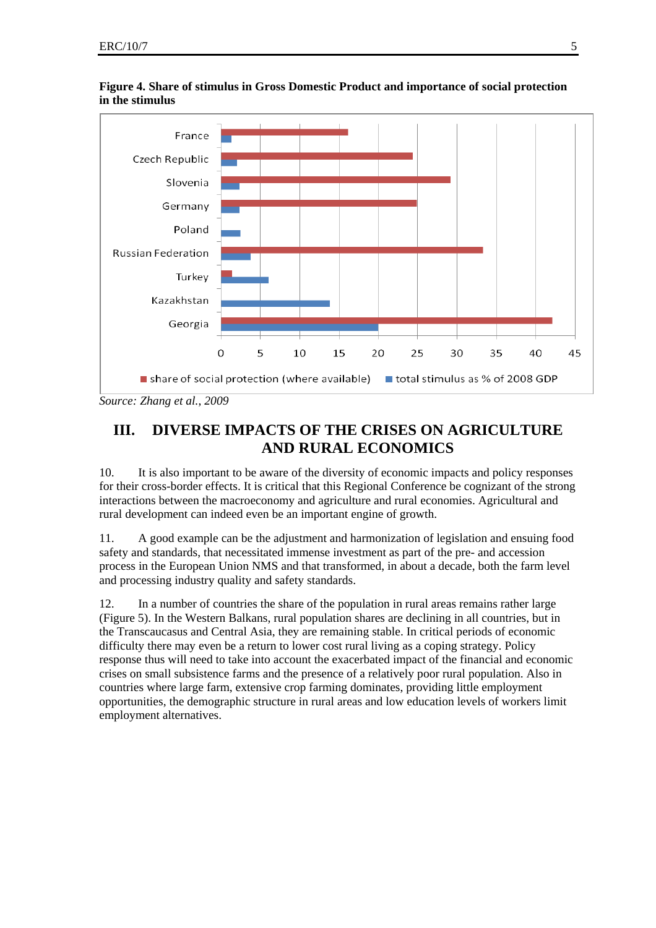

**Figure 4. Share of stimulus in Gross Domestic Product and importance of social protection in the stimulus** 

*Source: Zhang et al.*, *2009* 

# **III. DIVERSE IMPACTS OF THE CRISES ON AGRICULTURE AND RURAL ECONOMICS**

10. It is also important to be aware of the diversity of economic impacts and policy responses for their cross-border effects. It is critical that this Regional Conference be cognizant of the strong interactions between the macroeconomy and agriculture and rural economies. Agricultural and rural development can indeed even be an important engine of growth.

11. A good example can be the adjustment and harmonization of legislation and ensuing food safety and standards, that necessitated immense investment as part of the pre- and accession process in the European Union NMS and that transformed, in about a decade, both the farm level and processing industry quality and safety standards.

12. In a number of countries the share of the population in rural areas remains rather large (Figure 5). In the Western Balkans, rural population shares are declining in all countries, but in the Transcaucasus and Central Asia, they are remaining stable. In critical periods of economic difficulty there may even be a return to lower cost rural living as a coping strategy. Policy response thus will need to take into account the exacerbated impact of the financial and economic crises on small subsistence farms and the presence of a relatively poor rural population. Also in countries where large farm, extensive crop farming dominates, providing little employment opportunities, the demographic structure in rural areas and low education levels of workers limit employment alternatives.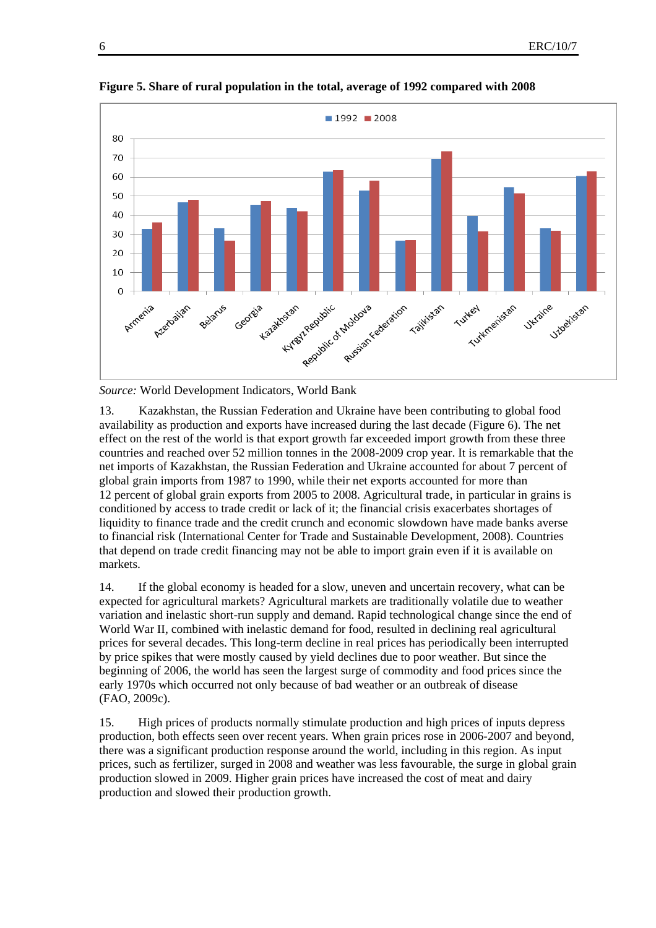

**Figure 5. Share of rural population in the total, average of 1992 compared with 2008** 

*Source:* World Development Indicators, World Bank

13. Kazakhstan, the Russian Federation and Ukraine have been contributing to global food availability as production and exports have increased during the last decade (Figure 6). The net effect on the rest of the world is that export growth far exceeded import growth from these three countries and reached over 52 million tonnes in the 2008-2009 crop year. It is remarkable that the net imports of Kazakhstan, the Russian Federation and Ukraine accounted for about 7 percent of global grain imports from 1987 to 1990, while their net exports accounted for more than 12 percent of global grain exports from 2005 to 2008. Agricultural trade, in particular in grains is conditioned by access to trade credit or lack of it; the financial crisis exacerbates shortages of liquidity to finance trade and the credit crunch and economic slowdown have made banks averse to financial risk (International Center for Trade and Sustainable Development, 2008). Countries that depend on trade credit financing may not be able to import grain even if it is available on markets.

14. If the global economy is headed for a slow, uneven and uncertain recovery, what can be expected for agricultural markets? Agricultural markets are traditionally volatile due to weather variation and inelastic short-run supply and demand. Rapid technological change since the end of World War II, combined with inelastic demand for food, resulted in declining real agricultural prices for several decades. This long-term decline in real prices has periodically been interrupted by price spikes that were mostly caused by yield declines due to poor weather. But since the beginning of 2006, the world has seen the largest surge of commodity and food prices since the early 1970s which occurred not only because of bad weather or an outbreak of disease (FAO, 2009c).

15. High prices of products normally stimulate production and high prices of inputs depress production, both effects seen over recent years. When grain prices rose in 2006-2007 and beyond, there was a significant production response around the world, including in this region. As input prices, such as fertilizer, surged in 2008 and weather was less favourable, the surge in global grain production slowed in 2009. Higher grain prices have increased the cost of meat and dairy production and slowed their production growth.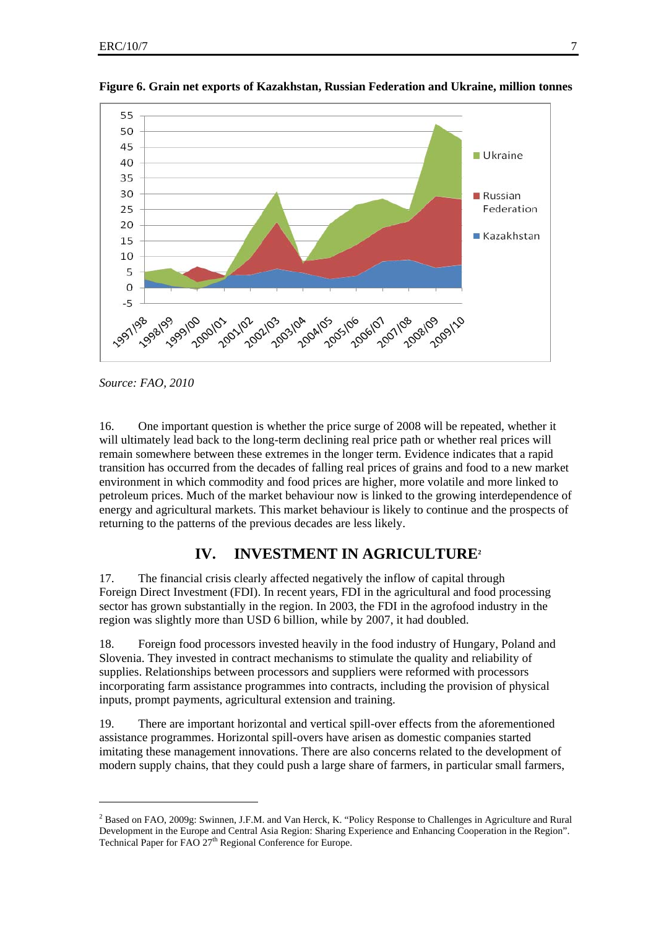

**Figure 6. Grain net exports of Kazakhstan, Russian Federation and Ukraine, million tonnes** 

*Source: FAO, 2010*

l

16. One important question is whether the price surge of 2008 will be repeated, whether it will ultimately lead back to the long-term declining real price path or whether real prices will remain somewhere between these extremes in the longer term. Evidence indicates that a rapid transition has occurred from the decades of falling real prices of grains and food to a new market environment in which commodity and food prices are higher, more volatile and more linked to petroleum prices. Much of the market behaviour now is linked to the growing interdependence of energy and agricultural markets. This market behaviour is likely to continue and the prospects of returning to the patterns of the previous decades are less likely.

## **IV. INVESTMENT IN AGRICULTURE2**

17. The financial crisis clearly affected negatively the inflow of capital through Foreign Direct Investment (FDI). In recent years, FDI in the agricultural and food processing sector has grown substantially in the region. In 2003, the FDI in the agrofood industry in the region was slightly more than USD 6 billion, while by 2007, it had doubled.

18. Foreign food processors invested heavily in the food industry of Hungary, Poland and Slovenia. They invested in contract mechanisms to stimulate the quality and reliability of supplies. Relationships between processors and suppliers were reformed with processors incorporating farm assistance programmes into contracts, including the provision of physical inputs, prompt payments, agricultural extension and training.

19. There are important horizontal and vertical spill-over effects from the aforementioned assistance programmes. Horizontal spill-overs have arisen as domestic companies started imitating these management innovations. There are also concerns related to the development of modern supply chains, that they could push a large share of farmers, in particular small farmers,

<sup>&</sup>lt;sup>2</sup> Based on FAO, 2009g: Swinnen, J.F.M. and Van Herck, K. "Policy Response to Challenges in Agriculture and Rural Development in the Europe and Central Asia Region: Sharing Experience and Enhancing Cooperation in the Region". Technical Paper for FAO 27<sup>th</sup> Regional Conference for Europe.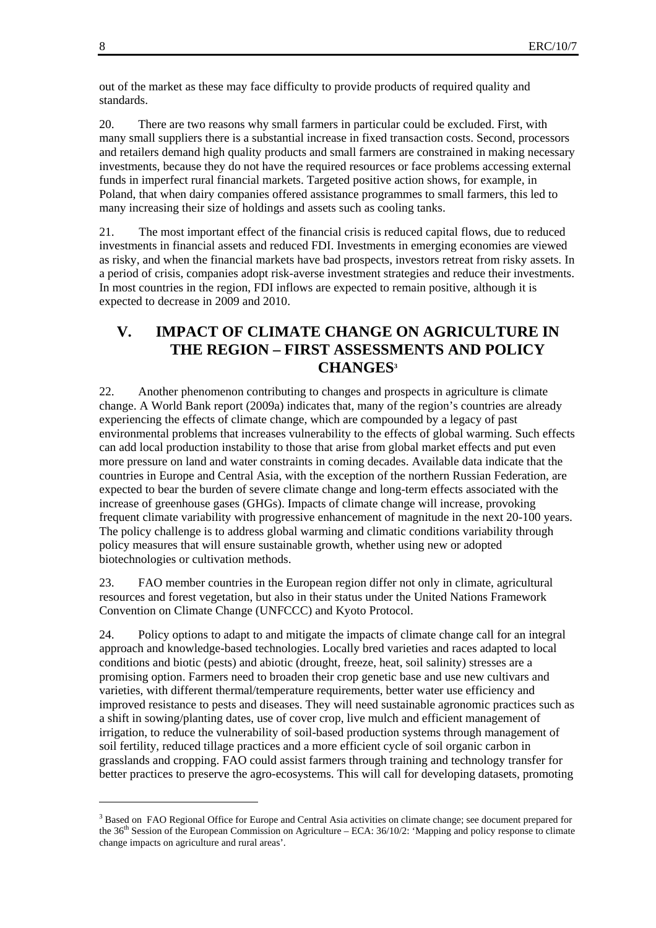out of the market as these may face difficulty to provide products of required quality and standards.

20. There are two reasons why small farmers in particular could be excluded. First, with many small suppliers there is a substantial increase in fixed transaction costs. Second, processors and retailers demand high quality products and small farmers are constrained in making necessary investments, because they do not have the required resources or face problems accessing external funds in imperfect rural financial markets. Targeted positive action shows, for example, in Poland, that when dairy companies offered assistance programmes to small farmers, this led to many increasing their size of holdings and assets such as cooling tanks.

21. The most important effect of the financial crisis is reduced capital flows, due to reduced investments in financial assets and reduced FDI. Investments in emerging economies are viewed as risky, and when the financial markets have bad prospects, investors retreat from risky assets. In a period of crisis, companies adopt risk-averse investment strategies and reduce their investments. In most countries in the region, FDI inflows are expected to remain positive, although it is expected to decrease in 2009 and 2010.

## **V. IMPACT OF CLIMATE CHANGE ON AGRICULTURE IN THE REGION – FIRST ASSESSMENTS AND POLICY CHANGES3**

22. Another phenomenon contributing to changes and prospects in agriculture is climate change. A World Bank report (2009a) indicates that, many of the region's countries are already experiencing the effects of climate change, which are compounded by a legacy of past environmental problems that increases vulnerability to the effects of global warming. Such effects can add local production instability to those that arise from global market effects and put even more pressure on land and water constraints in coming decades. Available data indicate that the countries in Europe and Central Asia, with the exception of the northern Russian Federation, are expected to bear the burden of severe climate change and long-term effects associated with the increase of greenhouse gases (GHGs). Impacts of climate change will increase, provoking frequent climate variability with progressive enhancement of magnitude in the next 20-100 years. The policy challenge is to address global warming and climatic conditions variability through policy measures that will ensure sustainable growth, whether using new or adopted biotechnologies or cultivation methods.

23. FAO member countries in the European region differ not only in climate, agricultural resources and forest vegetation, but also in their status under the United Nations Framework Convention on Climate Change (UNFCCC) and Kyoto Protocol.

24. Policy options to adapt to and mitigate the impacts of climate change call for an integral approach and knowledge-based technologies. Locally bred varieties and races adapted to local conditions and biotic (pests) and abiotic (drought, freeze, heat, soil salinity) stresses are a promising option. Farmers need to broaden their crop genetic base and use new cultivars and varieties, with different thermal/temperature requirements, better water use efficiency and improved resistance to pests and diseases. They will need sustainable agronomic practices such as a shift in sowing/planting dates, use of cover crop, live mulch and efficient management of irrigation, to reduce the vulnerability of soil-based production systems through management of soil fertility, reduced tillage practices and a more efficient cycle of soil organic carbon in grasslands and cropping. FAO could assist farmers through training and technology transfer for better practices to preserve the agro-ecosystems. This will call for developing datasets, promoting

l

<sup>&</sup>lt;sup>3</sup> Based on FAO Regional Office for Europe and Central Asia activities on climate change; see document prepared for the 36<sup>th</sup> Session of the European Commission on Agriculture – ECA: 36/10/2: 'Mapping and policy response to climate change impacts on agriculture and rural areas'.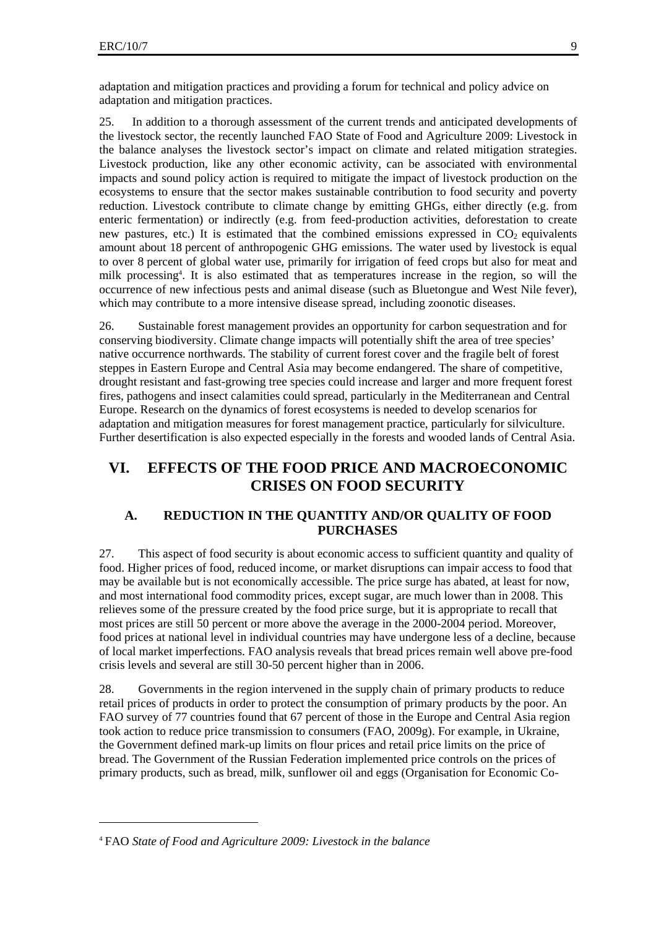adaptation and mitigation practices and providing a forum for technical and policy advice on adaptation and mitigation practices.

25. In addition to a thorough assessment of the current trends and anticipated developments of the livestock sector, the recently launched FAO State of Food and Agriculture 2009: Livestock in the balance analyses the livestock sector's impact on climate and related mitigation strategies. Livestock production, like any other economic activity, can be associated with environmental impacts and sound policy action is required to mitigate the impact of livestock production on the ecosystems to ensure that the sector makes sustainable contribution to food security and poverty reduction. Livestock contribute to climate change by emitting GHGs, either directly (e.g. from enteric fermentation) or indirectly (e.g. from feed-production activities, deforestation to create new pastures, etc.) It is estimated that the combined emissions expressed in  $CO<sub>2</sub>$  equivalents amount about 18 percent of anthropogenic GHG emissions. The water used by livestock is equal to over 8 percent of global water use, primarily for irrigation of feed crops but also for meat and milk processing<sup>4</sup>. It is also estimated that as temperatures increase in the region, so will the occurrence of new infectious pests and animal disease (such as Bluetongue and West Nile fever), which may contribute to a more intensive disease spread, including zoonotic diseases.

26. Sustainable forest management provides an opportunity for carbon sequestration and for conserving biodiversity. Climate change impacts will potentially shift the area of tree species' native occurrence northwards. The stability of current forest cover and the fragile belt of forest steppes in Eastern Europe and Central Asia may become endangered. The share of competitive, drought resistant and fast-growing tree species could increase and larger and more frequent forest fires, pathogens and insect calamities could spread, particularly in the Mediterranean and Central Europe. Research on the dynamics of forest ecosystems is needed to develop scenarios for adaptation and mitigation measures for forest management practice, particularly for silviculture. Further desertification is also expected especially in the forests and wooded lands of Central Asia.

## **VI. EFFECTS OF THE FOOD PRICE AND MACROECONOMIC CRISES ON FOOD SECURITY**

## **A. REDUCTION IN THE QUANTITY AND/OR QUALITY OF FOOD PURCHASES**

27. This aspect of food security is about economic access to sufficient quantity and quality of food. Higher prices of food, reduced income, or market disruptions can impair access to food that may be available but is not economically accessible. The price surge has abated, at least for now, and most international food commodity prices, except sugar, are much lower than in 2008. This relieves some of the pressure created by the food price surge, but it is appropriate to recall that most prices are still 50 percent or more above the average in the 2000-2004 period. Moreover, food prices at national level in individual countries may have undergone less of a decline, because of local market imperfections. FAO analysis reveals that bread prices remain well above pre-food crisis levels and several are still 30-50 percent higher than in 2006.

28. Governments in the region intervened in the supply chain of primary products to reduce retail prices of products in order to protect the consumption of primary products by the poor. An FAO survey of 77 countries found that 67 percent of those in the Europe and Central Asia region took action to reduce price transmission to consumers (FAO, 2009g). For example, in Ukraine, the Government defined mark-up limits on flour prices and retail price limits on the price of bread. The Government of the Russian Federation implemented price controls on the prices of primary products, such as bread, milk, sunflower oil and eggs (Organisation for Economic Co-

l

<sup>4</sup> FAO *State of Food and Agriculture 2009: Livestock in the balance*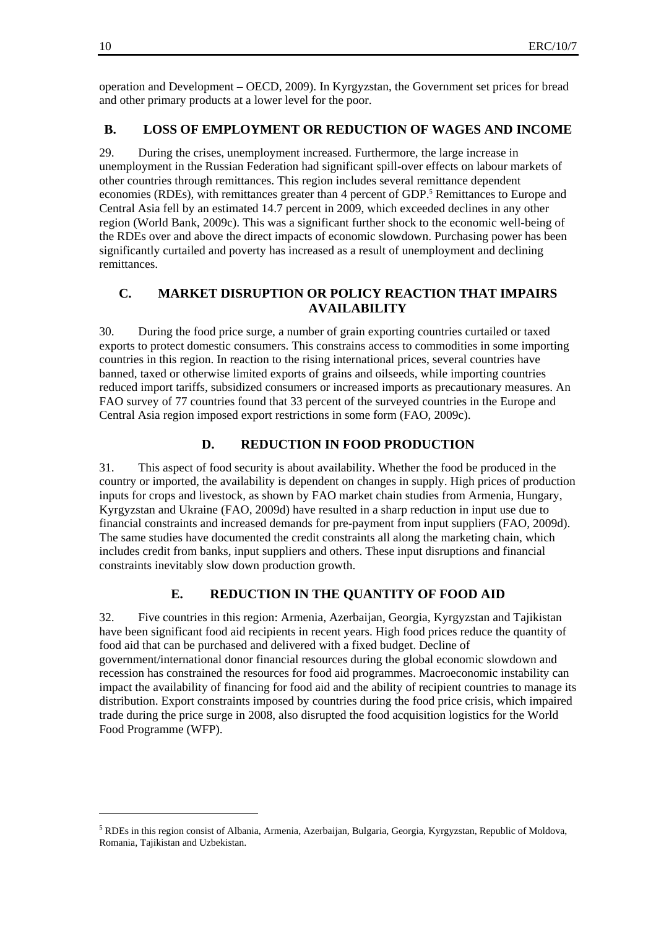operation and Development – OECD, 2009). In Kyrgyzstan, the Government set prices for bread and other primary products at a lower level for the poor.

### **B. LOSS OF EMPLOYMENT OR REDUCTION OF WAGES AND INCOME**

29. During the crises, unemployment increased. Furthermore, the large increase in unemployment in the Russian Federation had significant spill-over effects on labour markets of other countries through remittances. This region includes several remittance dependent economies (RDEs), with remittances greater than 4 percent of GDP.<sup>5</sup> Remittances to Europe and Central Asia fell by an estimated 14.7 percent in 2009, which exceeded declines in any other region (World Bank, 2009c). This was a significant further shock to the economic well-being of the RDEs over and above the direct impacts of economic slowdown. Purchasing power has been significantly curtailed and poverty has increased as a result of unemployment and declining remittances.

### **C. MARKET DISRUPTION OR POLICY REACTION THAT IMPAIRS AVAILABILITY**

30. During the food price surge, a number of grain exporting countries curtailed or taxed exports to protect domestic consumers. This constrains access to commodities in some importing countries in this region. In reaction to the rising international prices, several countries have banned, taxed or otherwise limited exports of grains and oilseeds, while importing countries reduced import tariffs, subsidized consumers or increased imports as precautionary measures. An FAO survey of 77 countries found that 33 percent of the surveyed countries in the Europe and Central Asia region imposed export restrictions in some form (FAO, 2009c).

### **D. REDUCTION IN FOOD PRODUCTION**

31. This aspect of food security is about availability. Whether the food be produced in the country or imported, the availability is dependent on changes in supply. High prices of production inputs for crops and livestock, as shown by FAO market chain studies from Armenia, Hungary, Kyrgyzstan and Ukraine (FAO, 2009d) have resulted in a sharp reduction in input use due to financial constraints and increased demands for pre-payment from input suppliers (FAO, 2009d). The same studies have documented the credit constraints all along the marketing chain, which includes credit from banks, input suppliers and others. These input disruptions and financial constraints inevitably slow down production growth.

#### **E. REDUCTION IN THE QUANTITY OF FOOD AID**

32. Five countries in this region: Armenia, Azerbaijan, Georgia, Kyrgyzstan and Tajikistan have been significant food aid recipients in recent years. High food prices reduce the quantity of food aid that can be purchased and delivered with a fixed budget. Decline of government/international donor financial resources during the global economic slowdown and recession has constrained the resources for food aid programmes. Macroeconomic instability can impact the availability of financing for food aid and the ability of recipient countries to manage its distribution. Export constraints imposed by countries during the food price crisis, which impaired trade during the price surge in 2008, also disrupted the food acquisition logistics for the World Food Programme (WFP).

 $\overline{\phantom{a}}$ 

<sup>&</sup>lt;sup>5</sup> RDEs in this region consist of Albania, Armenia, Azerbaijan, Bulgaria, Georgia, Kyrgyzstan, Republic of Moldova, Romania, Tajikistan and Uzbekistan.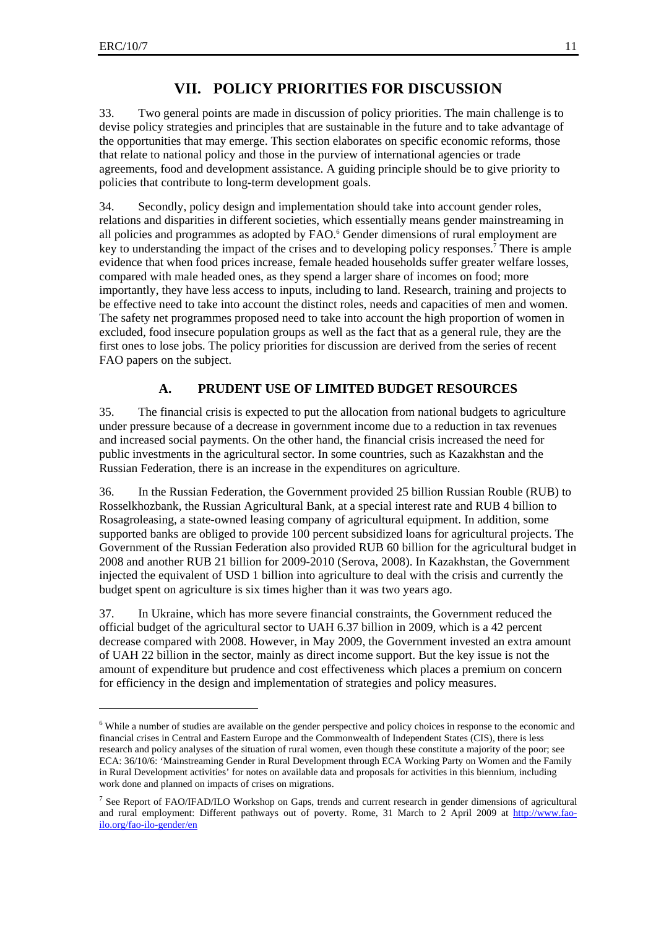$\overline{\phantom{a}}$ 

## **VII. POLICY PRIORITIES FOR DISCUSSION**

33. Two general points are made in discussion of policy priorities. The main challenge is to devise policy strategies and principles that are sustainable in the future and to take advantage of the opportunities that may emerge. This section elaborates on specific economic reforms, those that relate to national policy and those in the purview of international agencies or trade agreements, food and development assistance. A guiding principle should be to give priority to policies that contribute to long-term development goals.

34. Secondly, policy design and implementation should take into account gender roles, relations and disparities in different societies, which essentially means gender mainstreaming in all policies and programmes as adopted by FAO.<sup>6</sup> Gender dimensions of rural employment are key to understanding the impact of the crises and to developing policy responses.<sup>7</sup> There is ample evidence that when food prices increase, female headed households suffer greater welfare losses, compared with male headed ones, as they spend a larger share of incomes on food; more importantly, they have less access to inputs, including to land. Research, training and projects to be effective need to take into account the distinct roles, needs and capacities of men and women. The safety net programmes proposed need to take into account the high proportion of women in excluded, food insecure population groups as well as the fact that as a general rule, they are the first ones to lose jobs. The policy priorities for discussion are derived from the series of recent FAO papers on the subject.

## **A. PRUDENT USE OF LIMITED BUDGET RESOURCES**

35. The financial crisis is expected to put the allocation from national budgets to agriculture under pressure because of a decrease in government income due to a reduction in tax revenues and increased social payments. On the other hand, the financial crisis increased the need for public investments in the agricultural sector. In some countries, such as Kazakhstan and the Russian Federation, there is an increase in the expenditures on agriculture.

36. In the Russian Federation, the Government provided 25 billion Russian Rouble (RUB) to Rosselkhozbank, the Russian Agricultural Bank, at a special interest rate and RUB 4 billion to Rosagroleasing, a state-owned leasing company of agricultural equipment. In addition, some supported banks are obliged to provide 100 percent subsidized loans for agricultural projects. The Government of the Russian Federation also provided RUB 60 billion for the agricultural budget in 2008 and another RUB 21 billion for 2009-2010 (Serova, 2008). In Kazakhstan, the Government injected the equivalent of USD 1 billion into agriculture to deal with the crisis and currently the budget spent on agriculture is six times higher than it was two years ago.

37. In Ukraine, which has more severe financial constraints, the Government reduced the official budget of the agricultural sector to UAH 6.37 billion in 2009, which is a 42 percent decrease compared with 2008. However, in May 2009, the Government invested an extra amount of UAH 22 billion in the sector, mainly as direct income support. But the key issue is not the amount of expenditure but prudence and cost effectiveness which places a premium on concern for efficiency in the design and implementation of strategies and policy measures.

<sup>&</sup>lt;sup>6</sup> While a number of studies are available on the gender perspective and policy choices in response to the economic and financial crises in Central and Eastern Europe and the Commonwealth of Independent States (CIS), there is less research and policy analyses of the situation of rural women, even though these constitute a majority of the poor; see ECA: 36/10/6: 'Mainstreaming Gender in Rural Development through ECA Working Party on Women and the Family in Rural Development activities' for notes on available data and proposals for activities in this biennium, including work done and planned on impacts of crises on migrations.

<sup>&</sup>lt;sup>7</sup> See Report of FAO/IFAD/ILO Workshop on Gaps, trends and current research in gender dimensions of agricultural and rural employment: Different pathways out of poverty. Rome, 31 March to 2 April 2009 at http://www.faoilo.org/fao-ilo-gender/en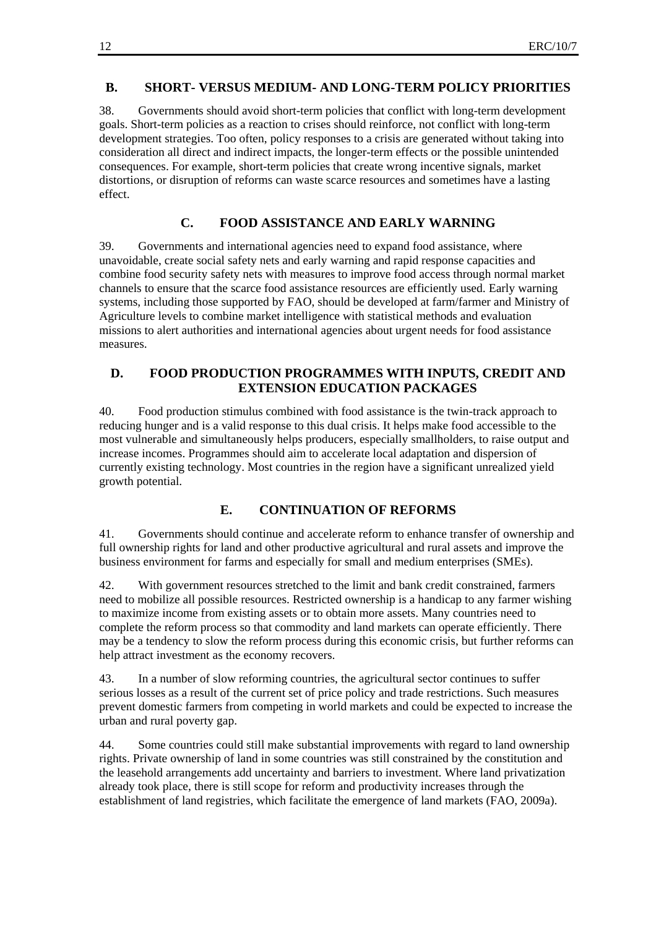### **B. SHORT- VERSUS MEDIUM- AND LONG-TERM POLICY PRIORITIES**

38. Governments should avoid short-term policies that conflict with long-term development goals. Short-term policies as a reaction to crises should reinforce, not conflict with long-term development strategies. Too often, policy responses to a crisis are generated without taking into consideration all direct and indirect impacts, the longer-term effects or the possible unintended consequences. For example, short-term policies that create wrong incentive signals, market distortions, or disruption of reforms can waste scarce resources and sometimes have a lasting effect.

## **C. FOOD ASSISTANCE AND EARLY WARNING**

39. Governments and international agencies need to expand food assistance, where unavoidable, create social safety nets and early warning and rapid response capacities and combine food security safety nets with measures to improve food access through normal market channels to ensure that the scarce food assistance resources are efficiently used. Early warning systems, including those supported by FAO, should be developed at farm/farmer and Ministry of Agriculture levels to combine market intelligence with statistical methods and evaluation missions to alert authorities and international agencies about urgent needs for food assistance measures.

## **D. FOOD PRODUCTION PROGRAMMES WITH INPUTS, CREDIT AND EXTENSION EDUCATION PACKAGES**

40. Food production stimulus combined with food assistance is the twin-track approach to reducing hunger and is a valid response to this dual crisis. It helps make food accessible to the most vulnerable and simultaneously helps producers, especially smallholders, to raise output and increase incomes. Programmes should aim to accelerate local adaptation and dispersion of currently existing technology. Most countries in the region have a significant unrealized yield growth potential.

## **E. CONTINUATION OF REFORMS**

41. Governments should continue and accelerate reform to enhance transfer of ownership and full ownership rights for land and other productive agricultural and rural assets and improve the business environment for farms and especially for small and medium enterprises (SMEs).

42. With government resources stretched to the limit and bank credit constrained, farmers need to mobilize all possible resources. Restricted ownership is a handicap to any farmer wishing to maximize income from existing assets or to obtain more assets. Many countries need to complete the reform process so that commodity and land markets can operate efficiently. There may be a tendency to slow the reform process during this economic crisis, but further reforms can help attract investment as the economy recovers.

43. In a number of slow reforming countries, the agricultural sector continues to suffer serious losses as a result of the current set of price policy and trade restrictions. Such measures prevent domestic farmers from competing in world markets and could be expected to increase the urban and rural poverty gap.

44. Some countries could still make substantial improvements with regard to land ownership rights. Private ownership of land in some countries was still constrained by the constitution and the leasehold arrangements add uncertainty and barriers to investment. Where land privatization already took place, there is still scope for reform and productivity increases through the establishment of land registries, which facilitate the emergence of land markets (FAO, 2009a).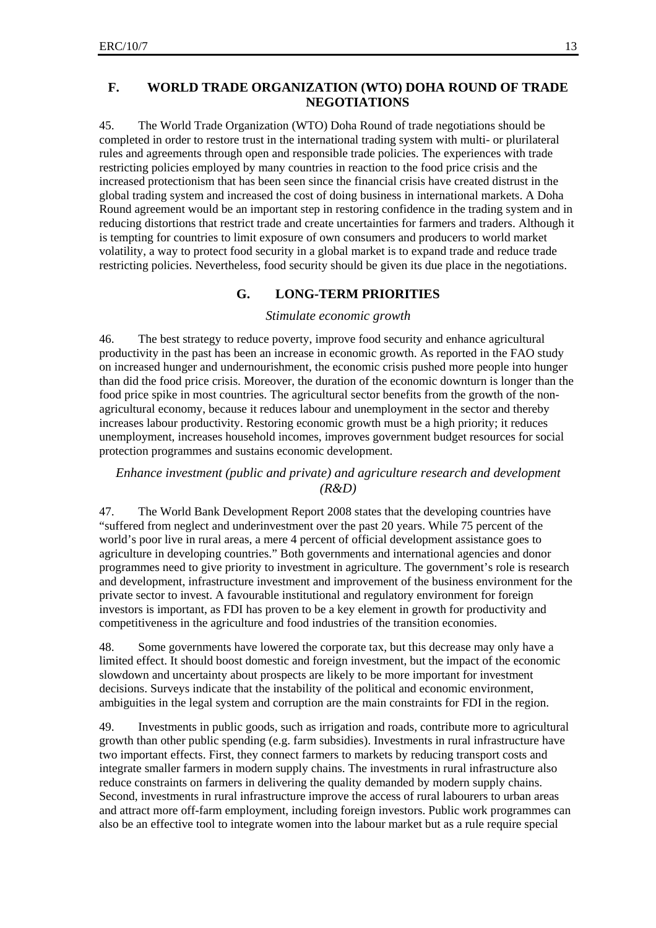#### **F. WORLD TRADE ORGANIZATION (WTO) DOHA ROUND OF TRADE NEGOTIATIONS**

45. The World Trade Organization (WTO) Doha Round of trade negotiations should be completed in order to restore trust in the international trading system with multi- or plurilateral rules and agreements through open and responsible trade policies. The experiences with trade restricting policies employed by many countries in reaction to the food price crisis and the increased protectionism that has been seen since the financial crisis have created distrust in the global trading system and increased the cost of doing business in international markets. A Doha Round agreement would be an important step in restoring confidence in the trading system and in reducing distortions that restrict trade and create uncertainties for farmers and traders. Although it is tempting for countries to limit exposure of own consumers and producers to world market volatility, a way to protect food security in a global market is to expand trade and reduce trade restricting policies. Nevertheless, food security should be given its due place in the negotiations.

#### **G. LONG-TERM PRIORITIES**

#### *Stimulate economic growth*

46. The best strategy to reduce poverty, improve food security and enhance agricultural productivity in the past has been an increase in economic growth. As reported in the FAO study on increased hunger and undernourishment, the economic crisis pushed more people into hunger than did the food price crisis. Moreover, the duration of the economic downturn is longer than the food price spike in most countries. The agricultural sector benefits from the growth of the nonagricultural economy, because it reduces labour and unemployment in the sector and thereby increases labour productivity. Restoring economic growth must be a high priority; it reduces unemployment, increases household incomes, improves government budget resources for social protection programmes and sustains economic development.

### *Enhance investment (public and private) and agriculture research and development (R&D)*

47. The World Bank Development Report 2008 states that the developing countries have "suffered from neglect and underinvestment over the past 20 years. While 75 percent of the world's poor live in rural areas, a mere 4 percent of official development assistance goes to agriculture in developing countries." Both governments and international agencies and donor programmes need to give priority to investment in agriculture. The government's role is research and development, infrastructure investment and improvement of the business environment for the private sector to invest. A favourable institutional and regulatory environment for foreign investors is important, as FDI has proven to be a key element in growth for productivity and competitiveness in the agriculture and food industries of the transition economies.

48. Some governments have lowered the corporate tax, but this decrease may only have a limited effect. It should boost domestic and foreign investment, but the impact of the economic slowdown and uncertainty about prospects are likely to be more important for investment decisions. Surveys indicate that the instability of the political and economic environment, ambiguities in the legal system and corruption are the main constraints for FDI in the region.

49. Investments in public goods, such as irrigation and roads, contribute more to agricultural growth than other public spending (e.g. farm subsidies). Investments in rural infrastructure have two important effects. First, they connect farmers to markets by reducing transport costs and integrate smaller farmers in modern supply chains. The investments in rural infrastructure also reduce constraints on farmers in delivering the quality demanded by modern supply chains. Second, investments in rural infrastructure improve the access of rural labourers to urban areas and attract more off-farm employment, including foreign investors. Public work programmes can also be an effective tool to integrate women into the labour market but as a rule require special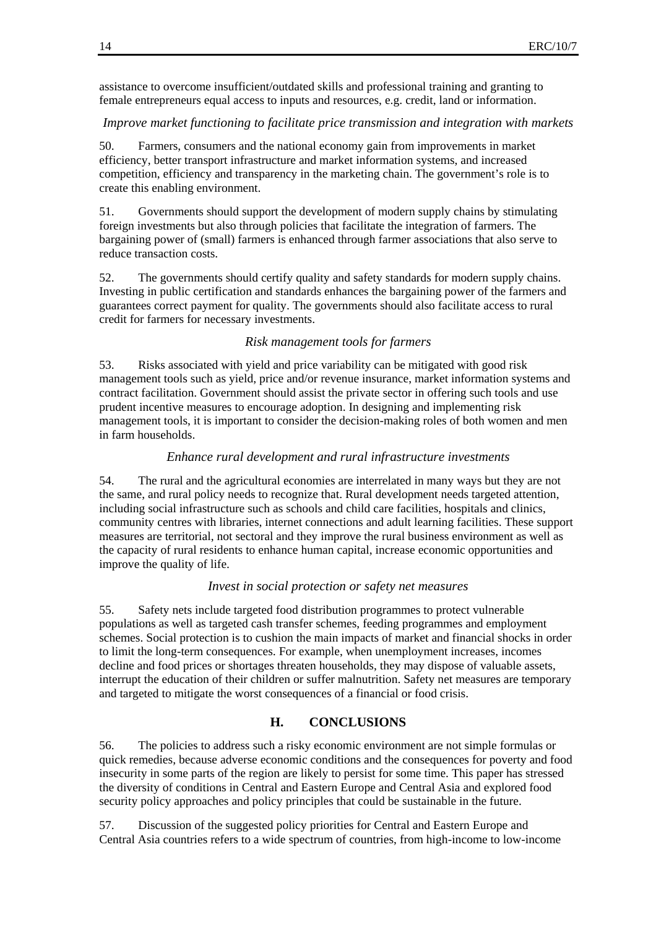assistance to overcome insufficient/outdated skills and professional training and granting to female entrepreneurs equal access to inputs and resources, e.g. credit, land or information.

#### *Improve market functioning to facilitate price transmission and integration with markets*

50. Farmers, consumers and the national economy gain from improvements in market efficiency, better transport infrastructure and market information systems, and increased competition, efficiency and transparency in the marketing chain. The government's role is to create this enabling environment.

51. Governments should support the development of modern supply chains by stimulating foreign investments but also through policies that facilitate the integration of farmers. The bargaining power of (small) farmers is enhanced through farmer associations that also serve to reduce transaction costs.

52. The governments should certify quality and safety standards for modern supply chains. Investing in public certification and standards enhances the bargaining power of the farmers and guarantees correct payment for quality. The governments should also facilitate access to rural credit for farmers for necessary investments.

#### *Risk management tools for farmers*

53. Risks associated with yield and price variability can be mitigated with good risk management tools such as yield, price and/or revenue insurance, market information systems and contract facilitation. Government should assist the private sector in offering such tools and use prudent incentive measures to encourage adoption. In designing and implementing risk management tools, it is important to consider the decision-making roles of both women and men in farm households.

#### *Enhance rural development and rural infrastructure investments*

54. The rural and the agricultural economies are interrelated in many ways but they are not the same, and rural policy needs to recognize that. Rural development needs targeted attention, including social infrastructure such as schools and child care facilities, hospitals and clinics, community centres with libraries, internet connections and adult learning facilities. These support measures are territorial, not sectoral and they improve the rural business environment as well as the capacity of rural residents to enhance human capital, increase economic opportunities and improve the quality of life.

#### *Invest in social protection or safety net measures*

55. Safety nets include targeted food distribution programmes to protect vulnerable populations as well as targeted cash transfer schemes, feeding programmes and employment schemes. Social protection is to cushion the main impacts of market and financial shocks in order to limit the long-term consequences. For example, when unemployment increases, incomes decline and food prices or shortages threaten households, they may dispose of valuable assets, interrupt the education of their children or suffer malnutrition. Safety net measures are temporary and targeted to mitigate the worst consequences of a financial or food crisis.

### **H. CONCLUSIONS**

56. The policies to address such a risky economic environment are not simple formulas or quick remedies, because adverse economic conditions and the consequences for poverty and food insecurity in some parts of the region are likely to persist for some time. This paper has stressed the diversity of conditions in Central and Eastern Europe and Central Asia and explored food security policy approaches and policy principles that could be sustainable in the future.

57. Discussion of the suggested policy priorities for Central and Eastern Europe and Central Asia countries refers to a wide spectrum of countries, from high-income to low-income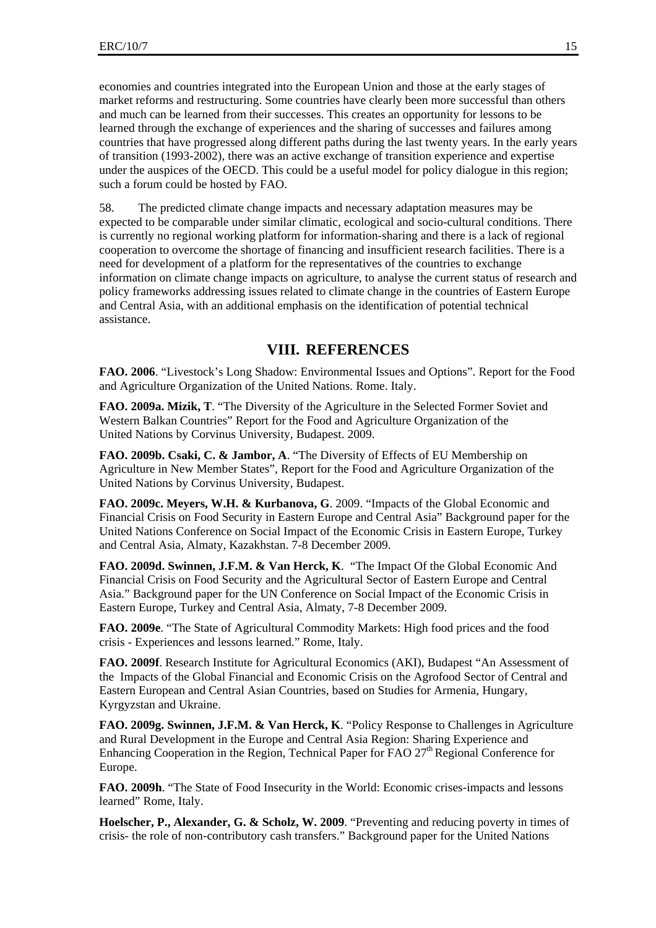economies and countries integrated into the European Union and those at the early stages of market reforms and restructuring. Some countries have clearly been more successful than others and much can be learned from their successes. This creates an opportunity for lessons to be learned through the exchange of experiences and the sharing of successes and failures among countries that have progressed along different paths during the last twenty years. In the early years of transition (1993-2002), there was an active exchange of transition experience and expertise under the auspices of the OECD. This could be a useful model for policy dialogue in this region; such a forum could be hosted by FAO.

58. The predicted climate change impacts and necessary adaptation measures may be expected to be comparable under similar climatic, ecological and socio-cultural conditions. There is currently no regional working platform for information-sharing and there is a lack of regional cooperation to overcome the shortage of financing and insufficient research facilities. There is a need for development of a platform for the representatives of the countries to exchange information on climate change impacts on agriculture, to analyse the current status of research and policy frameworks addressing issues related to climate change in the countries of Eastern Europe and Central Asia, with an additional emphasis on the identification of potential technical assistance.

## **VIII. REFERENCES**

**FAO. 2006**. "Livestock's Long Shadow: Environmental Issues and Options". Report for the Food and Agriculture Organization of the United Nations. Rome. Italy.

**FAO. 2009a. Mizik, T**. "The Diversity of the Agriculture in the Selected Former Soviet and Western Balkan Countries" Report for the Food and Agriculture Organization of the United Nations by Corvinus University, Budapest. 2009.

**FAO. 2009b. Csaki, C. & Jambor, A**. "The Diversity of Effects of EU Membership on Agriculture in New Member States", Report for the Food and Agriculture Organization of the United Nations by Corvinus University, Budapest.

**FAO. 2009c. Meyers, W.H. & Kurbanova, G**. 2009. "Impacts of the Global Economic and Financial Crisis on Food Security in Eastern Europe and Central Asia" Background paper for the United Nations Conference on Social Impact of the Economic Crisis in Eastern Europe, Turkey and Central Asia, Almaty, Kazakhstan. 7-8 December 2009.

**FAO. 2009d. Swinnen, J.F.M. & Van Herck, K**. "The Impact Of the Global Economic And Financial Crisis on Food Security and the Agricultural Sector of Eastern Europe and Central Asia." Background paper for the UN Conference on Social Impact of the Economic Crisis in Eastern Europe, Turkey and Central Asia, Almaty, 7-8 December 2009.

**FAO. 2009e**. "The State of Agricultural Commodity Markets: High food prices and the food crisis - Experiences and lessons learned." Rome, Italy.

**FAO. 2009f**. Research Institute for Agricultural Economics (AKI), Budapest "An Assessment of the Impacts of the Global Financial and Economic Crisis on the Agrofood Sector of Central and Eastern European and Central Asian Countries, based on Studies for Armenia, Hungary, Kyrgyzstan and Ukraine.

**FAO. 2009g. Swinnen, J.F.M. & Van Herck, K**. "Policy Response to Challenges in Agriculture and Rural Development in the Europe and Central Asia Region: Sharing Experience and Enhancing Cooperation in the Region, Technical Paper for FAO  $27<sup>th</sup>$  Regional Conference for Europe.

**FAO. 2009h**. "The State of Food Insecurity in the World: Economic crises-impacts and lessons learned" Rome, Italy.

**Hoelscher, P., Alexander, G. & Scholz, W. 2009**. "Preventing and reducing poverty in times of crisis- the role of non-contributory cash transfers." Background paper for the United Nations